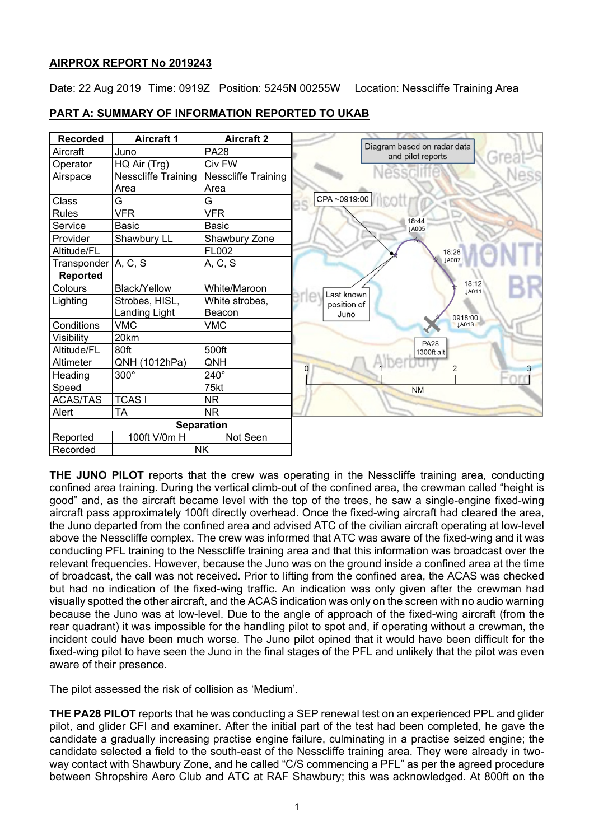# **AIRPROX REPORT No 2019243**

Date: 22 Aug 2019 Time: 0919Z Position: 5245N 00255W Location: Nesscliffe Training Area

# **PART A: SUMMARY OF INFORMATION REPORTED TO UKAB**

| <b>Recorded</b>       | <b>Aircraft 1</b>   | <b>Aircraft 2</b>   |                                                  |
|-----------------------|---------------------|---------------------|--------------------------------------------------|
| Aircraft              | Juno                | <b>PA28</b>         | Diagram based on radar data<br>and pilot reports |
| Operator              | HQ Air (Trg)        | Civ FW              |                                                  |
| Airspace              | Nesscliffe Training | Nesscliffe Training |                                                  |
|                       | Area                | Area                |                                                  |
| Class                 | G                   | G                   | CPA ~0919:00                                     |
| <b>Rules</b>          | <b>VFR</b>          | <b>VFR</b>          |                                                  |
| Service               | <b>Basic</b>        | <b>Basic</b>        | 18:44<br>LA005                                   |
| Provider              | Shawbury LL         | Shawbury Zone       |                                                  |
| Altitude/FL           |                     | FL002               | 18:28                                            |
| Transponder   A, C, S |                     | A, C, S             | <b>IA007</b>                                     |
| <b>Reported</b>       |                     |                     |                                                  |
| Colours               | <b>Black/Yellow</b> | White/Maroon        | 18:12<br><b>LA011</b><br>Last known              |
| Lighting              | Strobes, HISL,      | White strobes,      | position of                                      |
|                       | Landing Light       | Beacon              | Juno                                             |
| Conditions            | <b>VMC</b>          | <b>VMC</b>          | 0918:00                                          |
| Visibility            | 20km                |                     | <b>PA28</b>                                      |
| Altitude/FL           | 80ft                | 500ft               | 1300ft alt                                       |
| Altimeter             | QNH (1012hPa)       | QNH                 | 0                                                |
| Heading               | $300^\circ$         | 240°                |                                                  |
| Speed                 |                     | 75kt                | <b>NM</b>                                        |
| <b>ACAS/TAS</b>       | <b>TCAS1</b>        | <b>NR</b>           |                                                  |
| Alert                 | <b>TA</b>           | <b>NR</b>           |                                                  |
|                       |                     | <b>Separation</b>   |                                                  |
| Reported              | 100ft V/0m H        | Not Seen            |                                                  |
| Recorded              |                     | <b>NK</b>           |                                                  |

**THE JUNO PILOT** reports that the crew was operating in the Nesscliffe training area, conducting confined area training. During the vertical climb-out of the confined area, the crewman called "height is good" and, as the aircraft became level with the top of the trees, he saw a single-engine fixed-wing aircraft pass approximately 100ft directly overhead. Once the fixed-wing aircraft had cleared the area, the Juno departed from the confined area and advised ATC of the civilian aircraft operating at low-level above the Nesscliffe complex. The crew was informed that ATC was aware of the fixed-wing and it was conducting PFL training to the Nesscliffe training area and that this information was broadcast over the relevant frequencies. However, because the Juno was on the ground inside a confined area at the time of broadcast, the call was not received. Prior to lifting from the confined area, the ACAS was checked but had no indication of the fixed-wing traffic. An indication was only given after the crewman had visually spotted the other aircraft, and the ACAS indication was only on the screen with no audio warning because the Juno was at low-level. Due to the angle of approach of the fixed-wing aircraft (from the rear quadrant) it was impossible for the handling pilot to spot and, if operating without a crewman, the incident could have been much worse. The Juno pilot opined that it would have been difficult for the fixed-wing pilot to have seen the Juno in the final stages of the PFL and unlikely that the pilot was even aware of their presence.

The pilot assessed the risk of collision as 'Medium'.

**THE PA28 PILOT** reports that he was conducting a SEP renewal test on an experienced PPL and glider pilot, and glider CFI and examiner. After the initial part of the test had been completed, he gave the candidate a gradually increasing practise engine failure, culminating in a practise seized engine; the candidate selected a field to the south-east of the Nesscliffe training area. They were already in twoway contact with Shawbury Zone, and he called "C/S commencing a PFL" as per the agreed procedure between Shropshire Aero Club and ATC at RAF Shawbury; this was acknowledged. At 800ft on the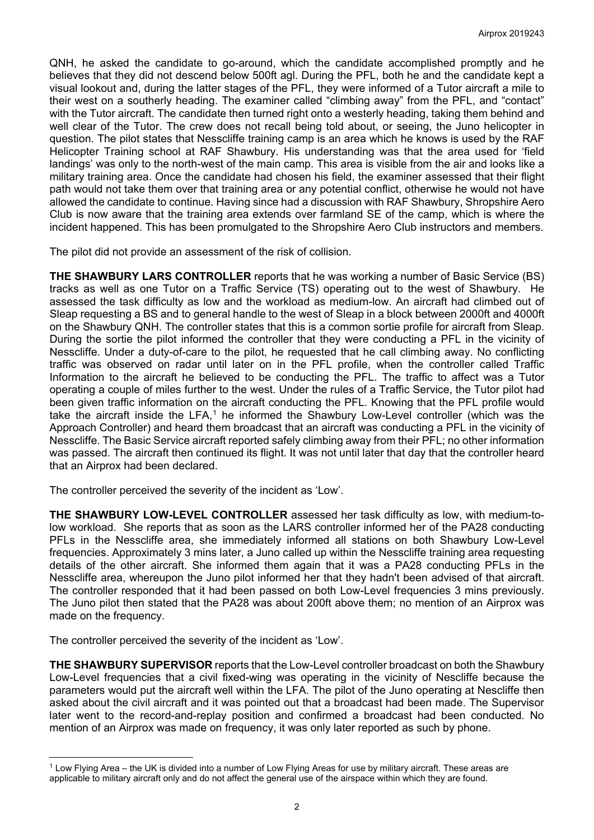QNH, he asked the candidate to go-around, which the candidate accomplished promptly and he believes that they did not descend below 500ft agl. During the PFL, both he and the candidate kept a visual lookout and, during the latter stages of the PFL, they were informed of a Tutor aircraft a mile to their west on a southerly heading. The examiner called "climbing away" from the PFL, and "contact" with the Tutor aircraft. The candidate then turned right onto a westerly heading, taking them behind and well clear of the Tutor. The crew does not recall being told about, or seeing, the Juno helicopter in question. The pilot states that Nesscliffe training camp is an area which he knows is used by the RAF Helicopter Training school at RAF Shawbury. His understanding was that the area used for 'field landings' was only to the north-west of the main camp. This area is visible from the air and looks like a military training area. Once the candidate had chosen his field, the examiner assessed that their flight path would not take them over that training area or any potential conflict, otherwise he would not have allowed the candidate to continue. Having since had a discussion with RAF Shawbury, Shropshire Aero Club is now aware that the training area extends over farmland SE of the camp, which is where the incident happened. This has been promulgated to the Shropshire Aero Club instructors and members.

The pilot did not provide an assessment of the risk of collision.

**THE SHAWBURY LARS CONTROLLER** reports that he was working a number of Basic Service (BS) tracks as well as one Tutor on a Traffic Service (TS) operating out to the west of Shawbury. He assessed the task difficulty as low and the workload as medium-low. An aircraft had climbed out of Sleap requesting a BS and to general handle to the west of Sleap in a block between 2000ft and 4000ft on the Shawbury QNH. The controller states that this is a common sortie profile for aircraft from Sleap. During the sortie the pilot informed the controller that they were conducting a PFL in the vicinity of Nesscliffe. Under a duty-of-care to the pilot, he requested that he call climbing away. No conflicting traffic was observed on radar until later on in the PFL profile, when the controller called Traffic Information to the aircraft he believed to be conducting the PFL. The traffic to affect was a Tutor operating a couple of miles further to the west. Under the rules of a Traffic Service, the Tutor pilot had been given traffic information on the aircraft conducting the PFL. Knowing that the PFL profile would take the aircraft inside the LFA,<sup>[1](#page-1-0)</sup> he informed the Shawbury Low-Level controller (which was the Approach Controller) and heard them broadcast that an aircraft was conducting a PFL in the vicinity of Nesscliffe. The Basic Service aircraft reported safely climbing away from their PFL; no other information was passed. The aircraft then continued its flight. It was not until later that day that the controller heard that an Airprox had been declared.

The controller perceived the severity of the incident as 'Low'.

**THE SHAWBURY LOW-LEVEL CONTROLLER** assessed her task difficulty as low, with medium-tolow workload. She reports that as soon as the LARS controller informed her of the PA28 conducting PFLs in the Nesscliffe area, she immediately informed all stations on both Shawbury Low-Level frequencies. Approximately 3 mins later, a Juno called up within the Nesscliffe training area requesting details of the other aircraft. She informed them again that it was a PA28 conducting PFLs in the Nesscliffe area, whereupon the Juno pilot informed her that they hadn't been advised of that aircraft. The controller responded that it had been passed on both Low-Level frequencies 3 mins previously. The Juno pilot then stated that the PA28 was about 200ft above them; no mention of an Airprox was made on the frequency.

The controller perceived the severity of the incident as 'Low'.

**THE SHAWBURY SUPERVISOR** reports that the Low-Level controller broadcast on both the Shawbury Low-Level frequencies that a civil fixed-wing was operating in the vicinity of Nescliffe because the parameters would put the aircraft well within the LFA. The pilot of the Juno operating at Nescliffe then asked about the civil aircraft and it was pointed out that a broadcast had been made. The Supervisor later went to the record-and-replay position and confirmed a broadcast had been conducted. No mention of an Airprox was made on frequency, it was only later reported as such by phone.

<span id="page-1-0"></span> $\overline{\phantom{a}}$ <sup>1</sup> Low Flying Area – the UK is divided into a number of Low Flying Areas for use by military aircraft. These areas are applicable to military aircraft only and do not affect the general use of the airspace within which they are found.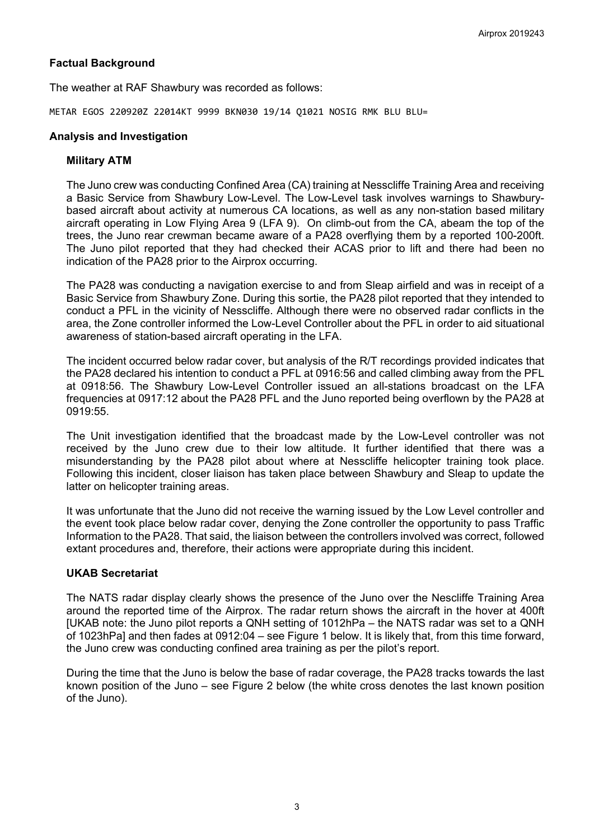### **Factual Background**

The weather at RAF Shawbury was recorded as follows:

METAR EGOS 220920Z 22014KT 9999 BKN030 19/14 01021 NOSIG RMK BLU BLU=

### **Analysis and Investigation**

### **Military ATM**

The Juno crew was conducting Confined Area (CA) training at Nesscliffe Training Area and receiving a Basic Service from Shawbury Low-Level. The Low-Level task involves warnings to Shawburybased aircraft about activity at numerous CA locations, as well as any non-station based military aircraft operating in Low Flying Area 9 (LFA 9). On climb-out from the CA, abeam the top of the trees, the Juno rear crewman became aware of a PA28 overflying them by a reported 100-200ft. The Juno pilot reported that they had checked their ACAS prior to lift and there had been no indication of the PA28 prior to the Airprox occurring.

The PA28 was conducting a navigation exercise to and from Sleap airfield and was in receipt of a Basic Service from Shawbury Zone. During this sortie, the PA28 pilot reported that they intended to conduct a PFL in the vicinity of Nesscliffe. Although there were no observed radar conflicts in the area, the Zone controller informed the Low-Level Controller about the PFL in order to aid situational awareness of station-based aircraft operating in the LFA.

The incident occurred below radar cover, but analysis of the R/T recordings provided indicates that the PA28 declared his intention to conduct a PFL at 0916:56 and called climbing away from the PFL at 0918:56. The Shawbury Low-Level Controller issued an all-stations broadcast on the LFA frequencies at 0917:12 about the PA28 PFL and the Juno reported being overflown by the PA28 at 0919:55.

The Unit investigation identified that the broadcast made by the Low-Level controller was not received by the Juno crew due to their low altitude. It further identified that there was a misunderstanding by the PA28 pilot about where at Nesscliffe helicopter training took place. Following this incident, closer liaison has taken place between Shawbury and Sleap to update the latter on helicopter training areas.

It was unfortunate that the Juno did not receive the warning issued by the Low Level controller and the event took place below radar cover, denying the Zone controller the opportunity to pass Traffic Information to the PA28. That said, the liaison between the controllers involved was correct, followed extant procedures and, therefore, their actions were appropriate during this incident.

### **UKAB Secretariat**

The NATS radar display clearly shows the presence of the Juno over the Nescliffe Training Area around the reported time of the Airprox. The radar return shows the aircraft in the hover at 400ft [UKAB note: the Juno pilot reports a QNH setting of 1012hPa – the NATS radar was set to a QNH of 1023hPa] and then fades at 0912:04 – see Figure 1 below. It is likely that, from this time forward, the Juno crew was conducting confined area training as per the pilot's report.

During the time that the Juno is below the base of radar coverage, the PA28 tracks towards the last known position of the Juno – see Figure 2 below (the white cross denotes the last known position of the Juno).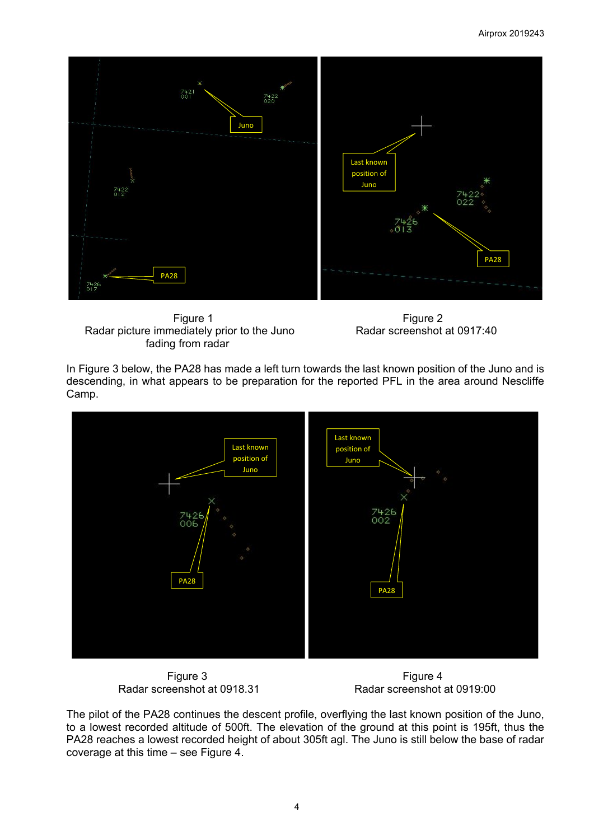#### Airprox 2019243



Figure 1 Figure 2 Radar picture immediately prior to the Juno Radar screenshot at 0917:40 fading from radar

In Figure 3 below, the PA28 has made a left turn towards the last known position of the Juno and is descending, in what appears to be preparation for the reported PFL in the area around Nescliffe Camp.



Figure 3<br>Figure 4 Figure 4<br>Radar screenshot at 0918.31 Radar screenshot at 0918.31

Radar screenshot at 0918.31 Radar screenshot at 0919:00

The pilot of the PA28 continues the descent profile, overflying the last known position of the Juno, to a lowest recorded altitude of 500ft. The elevation of the ground at this point is 195ft, thus the PA28 reaches a lowest recorded height of about 305ft agl. The Juno is still below the base of radar coverage at this time – see Figure 4.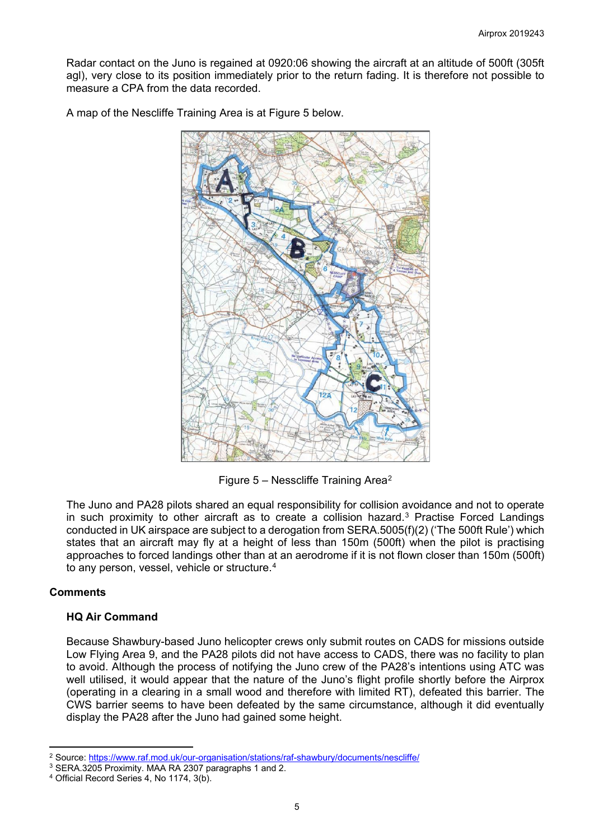Radar contact on the Juno is regained at 0920:06 showing the aircraft at an altitude of 500ft (305ft agl), very close to its position immediately prior to the return fading. It is therefore not possible to measure a CPA from the data recorded.

A map of the Nescliffe Training Area is at Figure 5 below.



Figure 5 – Nesscliffe Training Area[2](#page-4-0)

The Juno and PA28 pilots shared an equal responsibility for collision avoidance and not to operate in such proximity to other aircraft as to create a collision hazard.<sup>[3](#page-4-1)</sup> Practise Forced Landings conducted in UK airspace are subject to a derogation from SERA.5005(f)(2) ('The 500ft Rule') which states that an aircraft may fly at a height of less than 150m (500ft) when the pilot is practising approaches to forced landings other than at an aerodrome if it is not flown closer than 150m (500ft) to any person, vessel, vehicle or structure.<sup>[4](#page-4-2)</sup>

# **Comments**

# **HQ Air Command**

Because Shawbury-based Juno helicopter crews only submit routes on CADS for missions outside Low Flying Area 9, and the PA28 pilots did not have access to CADS, there was no facility to plan to avoid. Although the process of notifying the Juno crew of the PA28's intentions using ATC was well utilised, it would appear that the nature of the Juno's flight profile shortly before the Airprox (operating in a clearing in a small wood and therefore with limited RT), defeated this barrier. The CWS barrier seems to have been defeated by the same circumstance, although it did eventually display the PA28 after the Juno had gained some height.

l <sup>2</sup> Source:<https://www.raf.mod.uk/our-organisation/stations/raf-shawbury/documents/nescliffe/>

<span id="page-4-1"></span><span id="page-4-0"></span><sup>3</sup> SERA.3205 Proximity. MAA RA 2307 paragraphs 1 and 2.

<span id="page-4-2"></span><sup>4</sup> Official Record Series 4, No 1174, 3(b).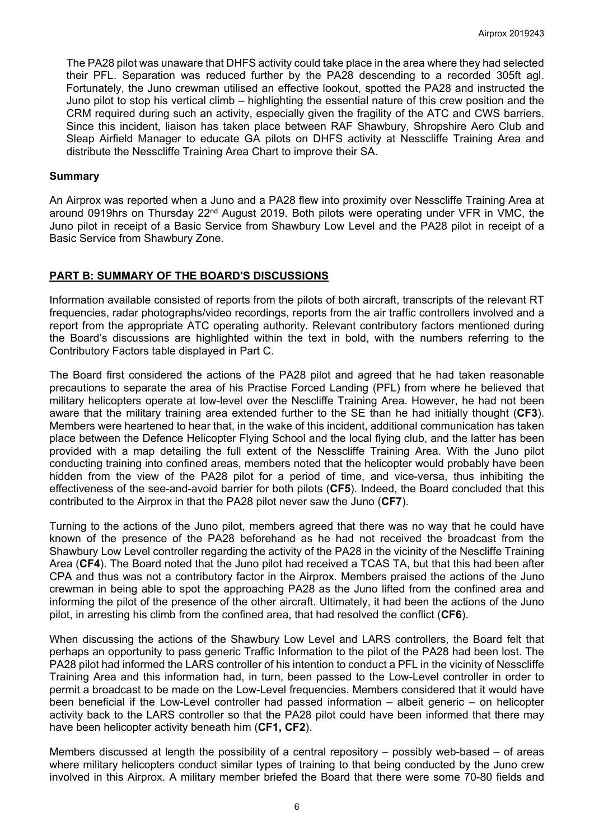The PA28 pilot was unaware that DHFS activity could take place in the area where they had selected their PFL. Separation was reduced further by the PA28 descending to a recorded 305ft agl. Fortunately, the Juno crewman utilised an effective lookout, spotted the PA28 and instructed the Juno pilot to stop his vertical climb – highlighting the essential nature of this crew position and the CRM required during such an activity, especially given the fragility of the ATC and CWS barriers. Since this incident, liaison has taken place between RAF Shawbury, Shropshire Aero Club and Sleap Airfield Manager to educate GA pilots on DHFS activity at Nesscliffe Training Area and distribute the Nesscliffe Training Area Chart to improve their SA.

#### **Summary**

An Airprox was reported when a Juno and a PA28 flew into proximity over Nesscliffe Training Area at around 0919hrs on Thursday 22<sup>nd</sup> August 2019. Both pilots were operating under VFR in VMC, the Juno pilot in receipt of a Basic Service from Shawbury Low Level and the PA28 pilot in receipt of a Basic Service from Shawbury Zone.

# **PART B: SUMMARY OF THE BOARD'S DISCUSSIONS**

Information available consisted of reports from the pilots of both aircraft, transcripts of the relevant RT frequencies, radar photographs/video recordings, reports from the air traffic controllers involved and a report from the appropriate ATC operating authority. Relevant contributory factors mentioned during the Board's discussions are highlighted within the text in bold, with the numbers referring to the Contributory Factors table displayed in Part C.

The Board first considered the actions of the PA28 pilot and agreed that he had taken reasonable precautions to separate the area of his Practise Forced Landing (PFL) from where he believed that military helicopters operate at low-level over the Nescliffe Training Area. However, he had not been aware that the military training area extended further to the SE than he had initially thought (**CF3**). Members were heartened to hear that, in the wake of this incident, additional communication has taken place between the Defence Helicopter Flying School and the local flying club, and the latter has been provided with a map detailing the full extent of the Nesscliffe Training Area. With the Juno pilot conducting training into confined areas, members noted that the helicopter would probably have been hidden from the view of the PA28 pilot for a period of time, and vice-versa, thus inhibiting the effectiveness of the see-and-avoid barrier for both pilots (**CF5**). Indeed, the Board concluded that this contributed to the Airprox in that the PA28 pilot never saw the Juno (**CF7**).

Turning to the actions of the Juno pilot, members agreed that there was no way that he could have known of the presence of the PA28 beforehand as he had not received the broadcast from the Shawbury Low Level controller regarding the activity of the PA28 in the vicinity of the Nescliffe Training Area (**CF4**). The Board noted that the Juno pilot had received a TCAS TA, but that this had been after CPA and thus was not a contributory factor in the Airprox. Members praised the actions of the Juno crewman in being able to spot the approaching PA28 as the Juno lifted from the confined area and informing the pilot of the presence of the other aircraft. Ultimately, it had been the actions of the Juno pilot, in arresting his climb from the confined area, that had resolved the conflict (**CF6**).

When discussing the actions of the Shawbury Low Level and LARS controllers, the Board felt that perhaps an opportunity to pass generic Traffic Information to the pilot of the PA28 had been lost. The PA28 pilot had informed the LARS controller of his intention to conduct a PFL in the vicinity of Nesscliffe Training Area and this information had, in turn, been passed to the Low-Level controller in order to permit a broadcast to be made on the Low-Level frequencies. Members considered that it would have been beneficial if the Low-Level controller had passed information – albeit generic – on helicopter activity back to the LARS controller so that the PA28 pilot could have been informed that there may have been helicopter activity beneath him (**CF1, CF2**).

Members discussed at length the possibility of a central repository – possibly web-based – of areas where military helicopters conduct similar types of training to that being conducted by the Juno crew involved in this Airprox. A military member briefed the Board that there were some 70-80 fields and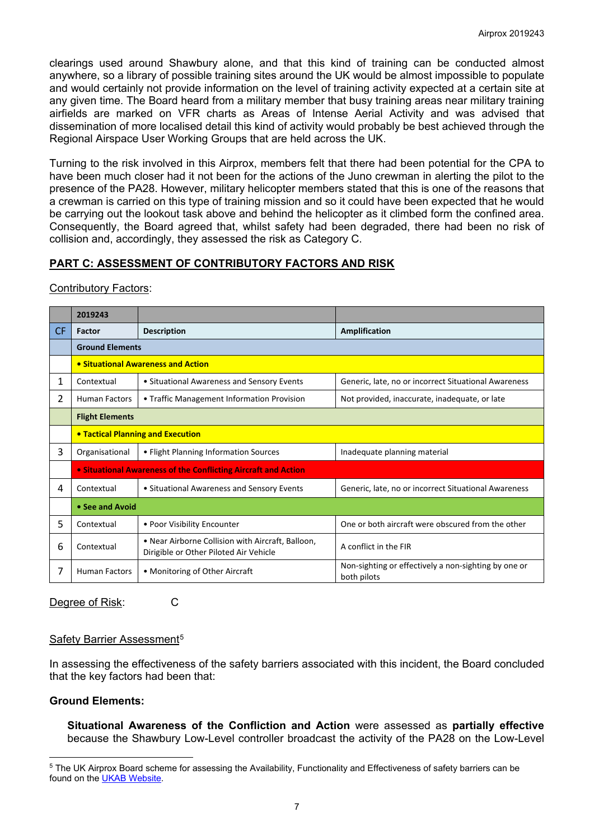clearings used around Shawbury alone, and that this kind of training can be conducted almost anywhere, so a library of possible training sites around the UK would be almost impossible to populate and would certainly not provide information on the level of training activity expected at a certain site at any given time. The Board heard from a military member that busy training areas near military training airfields are marked on VFR charts as Areas of Intense Aerial Activity and was advised that dissemination of more localised detail this kind of activity would probably be best achieved through the Regional Airspace User Working Groups that are held across the UK.

Turning to the risk involved in this Airprox, members felt that there had been potential for the CPA to have been much closer had it not been for the actions of the Juno crewman in alerting the pilot to the presence of the PA28. However, military helicopter members stated that this is one of the reasons that a crewman is carried on this type of training mission and so it could have been expected that he would be carrying out the lookout task above and behind the helicopter as it climbed form the confined area. Consequently, the Board agreed that, whilst safety had been degraded, there had been no risk of collision and, accordingly, they assessed the risk as Category C.

# **PART C: ASSESSMENT OF CONTRIBUTORY FACTORS AND RISK**

#### Contributory Factors:

|     | 2019243                                                                                                   |                                            |                                                                     |  |  |  |  |  |  |  |
|-----|-----------------------------------------------------------------------------------------------------------|--------------------------------------------|---------------------------------------------------------------------|--|--|--|--|--|--|--|
| CF. | Factor                                                                                                    | <b>Description</b>                         | Amplification                                                       |  |  |  |  |  |  |  |
|     | <b>Ground Elements</b>                                                                                    |                                            |                                                                     |  |  |  |  |  |  |  |
|     | • Situational Awareness and Action                                                                        |                                            |                                                                     |  |  |  |  |  |  |  |
| 1   | Contextual                                                                                                | • Situational Awareness and Sensory Events | Generic, late, no or incorrect Situational Awareness                |  |  |  |  |  |  |  |
| 2   | <b>Human Factors</b>                                                                                      | • Traffic Management Information Provision | Not provided, inaccurate, inadequate, or late                       |  |  |  |  |  |  |  |
|     | <b>Flight Elements</b>                                                                                    |                                            |                                                                     |  |  |  |  |  |  |  |
|     | <b>• Tactical Planning and Execution</b>                                                                  |                                            |                                                                     |  |  |  |  |  |  |  |
| 3   | Organisational                                                                                            | • Flight Planning Information Sources      | Inadequate planning material                                        |  |  |  |  |  |  |  |
|     | • Situational Awareness of the Conflicting Aircraft and Action                                            |                                            |                                                                     |  |  |  |  |  |  |  |
| 4   | Contextual<br>• Situational Awareness and Sensory Events                                                  |                                            | Generic, late, no or incorrect Situational Awareness                |  |  |  |  |  |  |  |
|     | • See and Avoid                                                                                           |                                            |                                                                     |  |  |  |  |  |  |  |
| 5   | Contextual                                                                                                | • Poor Visibility Encounter                | One or both aircraft were obscured from the other                   |  |  |  |  |  |  |  |
| 6   | • Near Airborne Collision with Aircraft, Balloon,<br>Contextual<br>Dirigible or Other Piloted Air Vehicle |                                            | A conflict in the FIR                                               |  |  |  |  |  |  |  |
| 7   | <b>Human Factors</b><br>• Monitoring of Other Aircraft                                                    |                                            | Non-sighting or effectively a non-sighting by one or<br>both pilots |  |  |  |  |  |  |  |

Degree of Risk: C

#### Safety Barrier Assessment<sup>[5](#page-6-0)</sup>

In assessing the effectiveness of the safety barriers associated with this incident, the Board concluded that the key factors had been that:

#### **Ground Elements:**

**Situational Awareness of the Confliction and Action** were assessed as **partially effective** because the Shawbury Low-Level controller broadcast the activity of the PA28 on the Low-Level

<span id="page-6-0"></span> $\overline{\phantom{a}}$ <sup>5</sup> The UK Airprox Board scheme for assessing the Availability, Functionality and Effectiveness of safety barriers can be found on the [UKAB Website.](http://www.airproxboard.org.uk/Learn-more/Airprox-Barrier-Assessment/)